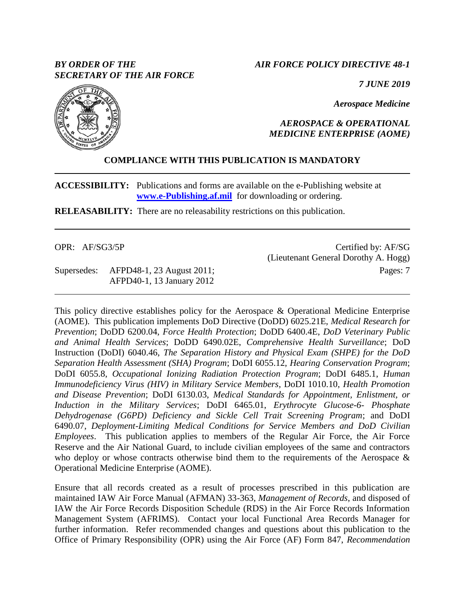# *BY ORDER OF THE SECRETARY OF THE AIR FORCE*

### *AIR FORCE POLICY DIRECTIVE 48-1*

*7 JUNE 2019*

*Aerospace Medicine*

# *AEROSPACE & OPERATIONAL MEDICINE ENTERPRISE (AOME)*

# **COMPLIANCE WITH THIS PUBLICATION IS MANDATORY**

**ACCESSIBILITY:** Publications and forms are available on the e-Publishing website at **[www.e-Publishing.af.mil](http://www.e-publishing.af.mil/)** for downloading or ordering.

**RELEASABILITY:** There are no releasability restrictions on this publication.

| OPR: AF/SG3/5P |                                       | Certified by: AF/SG                  |
|----------------|---------------------------------------|--------------------------------------|
|                |                                       | (Lieutenant General Dorothy A. Hogg) |
|                | Supersedes: AFPD48-1, 23 August 2011; | Pages: 7                             |
|                | AFPD40-1, 13 January 2012             |                                      |

This policy directive establishes policy for the Aerospace & Operational Medicine Enterprise (AOME). This publication implements DoD Directive (DoDD) 6025.21E, *Medical Research for Prevention*; DoDD 6200.04, *Force Health Protection*; DoDD 6400.4E, *DoD Veterinary Public and Animal Health Services*; DoDD 6490.02E, *Comprehensive Health Surveillance*; DoD Instruction (DoDI) 6040.46, *The Separation History and Physical Exam (SHPE) for the DoD Separation Health Assessment (SHA) Program*; DoDI 6055.12, *Hearing Conservation Program*; DoDI 6055.8, *Occupational Ionizing Radiation Protection Program*; DoDI 6485.1, *Human Immunodeficiency Virus (HIV) in Military Service Members*, DoDI 1010.10, *Health Promotion and Disease Prevention*; DoDI 6130.03, *Medical Standards for Appointment, Enlistment, or Induction in the Military Services*; DoDI 6465.01, *Erythrocyte Glucose-6- Phosphate Dehydrogenase (G6PD) Deficiency and Sickle Cell Trait Screening Program*; and DoDI 6490.07, *Deployment-Limiting Medical Conditions for Service Members and DoD Civilian Employees*. This publication applies to members of the Regular Air Force, the Air Force Reserve and the Air National Guard, to include civilian employees of the same and contractors who deploy or whose contracts otherwise bind them to the requirements of the Aerospace  $\&$ Operational Medicine Enterprise (AOME).

Ensure that all records created as a result of processes prescribed in this publication are maintained IAW Air Force Manual (AFMAN) 33-363, *Management of Records*, and disposed of IAW the Air Force Records Disposition Schedule (RDS) in the Air Force Records Information Management System (AFRIMS). Contact your local Functional Area Records Manager for further information. Refer recommended changes and questions about this publication to the Office of Primary Responsibility (OPR) using the Air Force (AF) Form 847, *Recommendation* 

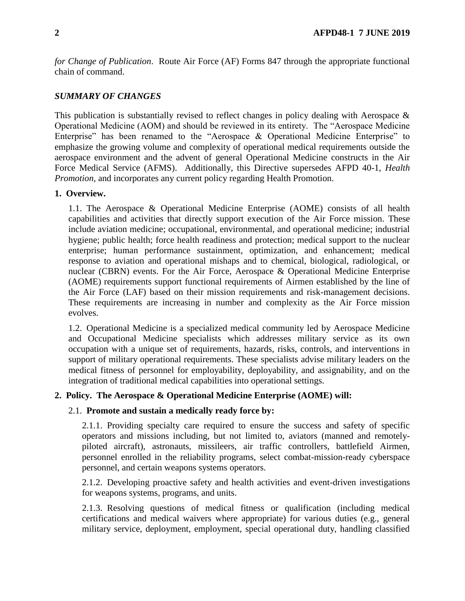*for Change of Publication*. Route Air Force (AF) Forms 847 through the appropriate functional chain of command.

# *SUMMARY OF CHANGES*

This publication is substantially revised to reflect changes in policy dealing with Aerospace & Operational Medicine (AOM) and should be reviewed in its entirety. The "Aerospace Medicine Enterprise" has been renamed to the "Aerospace & Operational Medicine Enterprise" to emphasize the growing volume and complexity of operational medical requirements outside the aerospace environment and the advent of general Operational Medicine constructs in the Air Force Medical Service (AFMS). Additionally, this Directive supersedes AFPD 40-1, *Health Promotion,* and incorporates any current policy regarding Health Promotion.

### **1. Overview.**

1.1. The Aerospace & Operational Medicine Enterprise (AOME) consists of all health capabilities and activities that directly support execution of the Air Force mission. These include aviation medicine; occupational, environmental, and operational medicine; industrial hygiene; public health; force health readiness and protection; medical support to the nuclear enterprise; human performance sustainment, optimization, and enhancement; medical response to aviation and operational mishaps and to chemical, biological, radiological, or nuclear (CBRN) events. For the Air Force, Aerospace & Operational Medicine Enterprise (AOME) requirements support functional requirements of Airmen established by the line of the Air Force (LAF) based on their mission requirements and risk-management decisions. These requirements are increasing in number and complexity as the Air Force mission evolves.

1.2. Operational Medicine is a specialized medical community led by Aerospace Medicine and Occupational Medicine specialists which addresses military service as its own occupation with a unique set of requirements, hazards, risks, controls, and interventions in support of military operational requirements. These specialists advise military leaders on the medical fitness of personnel for employability, deployability, and assignability, and on the integration of traditional medical capabilities into operational settings.

### **2. Policy. The Aerospace & Operational Medicine Enterprise (AOME) will:**

#### 2.1. **Promote and sustain a medically ready force by:**

2.1.1. Providing specialty care required to ensure the success and safety of specific operators and missions including, but not limited to, aviators (manned and remotelypiloted aircraft), astronauts, missileers, air traffic controllers, battlefield Airmen, personnel enrolled in the reliability programs, select combat-mission-ready cyberspace personnel, and certain weapons systems operators.

2.1.2. Developing proactive safety and health activities and event-driven investigations for weapons systems, programs, and units.

2.1.3. Resolving questions of medical fitness or qualification (including medical certifications and medical waivers where appropriate) for various duties (e.g., general military service, deployment, employment, special operational duty, handling classified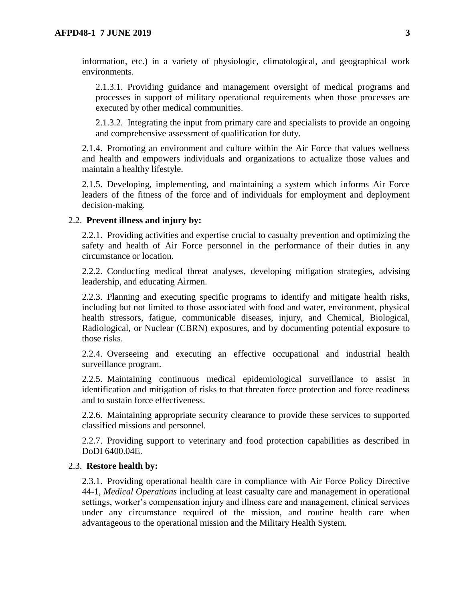information, etc.) in a variety of physiologic, climatological, and geographical work environments.

2.1.3.1. Providing guidance and management oversight of medical programs and processes in support of military operational requirements when those processes are executed by other medical communities.

2.1.3.2. Integrating the input from primary care and specialists to provide an ongoing and comprehensive assessment of qualification for duty.

2.1.4. Promoting an environment and culture within the Air Force that values wellness and health and empowers individuals and organizations to actualize those values and maintain a healthy lifestyle.

2.1.5. Developing, implementing, and maintaining a system which informs Air Force leaders of the fitness of the force and of individuals for employment and deployment decision-making.

#### 2.2. **Prevent illness and injury by:**

2.2.1. Providing activities and expertise crucial to casualty prevention and optimizing the safety and health of Air Force personnel in the performance of their duties in any circumstance or location.

2.2.2. Conducting medical threat analyses, developing mitigation strategies, advising leadership, and educating Airmen.

2.2.3. Planning and executing specific programs to identify and mitigate health risks, including but not limited to those associated with food and water, environment, physical health stressors, fatigue, communicable diseases, injury, and Chemical, Biological, Radiological, or Nuclear (CBRN) exposures, and by documenting potential exposure to those risks.

2.2.4. Overseeing and executing an effective occupational and industrial health surveillance program.

2.2.5. Maintaining continuous medical epidemiological surveillance to assist in identification and mitigation of risks to that threaten force protection and force readiness and to sustain force effectiveness.

2.2.6. Maintaining appropriate security clearance to provide these services to supported classified missions and personnel.

2.2.7. Providing support to veterinary and food protection capabilities as described in DoDI 6400.04E.

#### 2.3. **Restore health by:**

2.3.1. Providing operational health care in compliance with Air Force Policy Directive 44-1, *Medical Operations* including at least casualty care and management in operational settings, worker's compensation injury and illness care and management, clinical services under any circumstance required of the mission, and routine health care when advantageous to the operational mission and the Military Health System.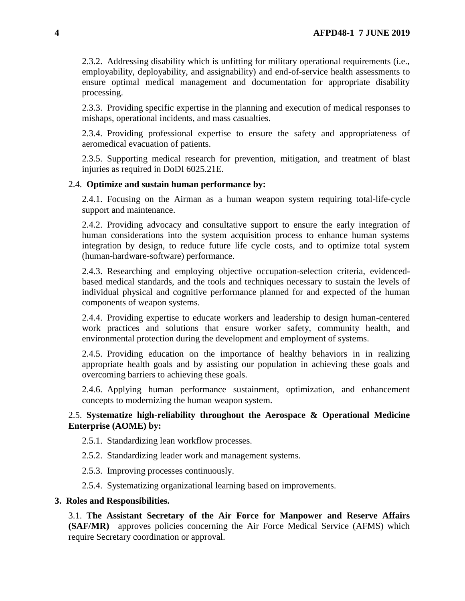2.3.2. Addressing disability which is unfitting for military operational requirements (i.e., employability, deployability, and assignability) and end-of-service health assessments to ensure optimal medical management and documentation for appropriate disability processing.

2.3.3. Providing specific expertise in the planning and execution of medical responses to mishaps, operational incidents, and mass casualties.

2.3.4. Providing professional expertise to ensure the safety and appropriateness of aeromedical evacuation of patients.

2.3.5. Supporting medical research for prevention, mitigation, and treatment of blast injuries as required in DoDI 6025.21E.

### 2.4. **Optimize and sustain human performance by:**

2.4.1. Focusing on the Airman as a human weapon system requiring total-life-cycle support and maintenance.

2.4.2. Providing advocacy and consultative support to ensure the early integration of human considerations into the system acquisition process to enhance human systems integration by design, to reduce future life cycle costs, and to optimize total system (human-hardware-software) performance.

2.4.3. Researching and employing objective occupation-selection criteria, evidencedbased medical standards, and the tools and techniques necessary to sustain the levels of individual physical and cognitive performance planned for and expected of the human components of weapon systems.

2.4.4. Providing expertise to educate workers and leadership to design human-centered work practices and solutions that ensure worker safety, community health, and environmental protection during the development and employment of systems.

2.4.5. Providing education on the importance of healthy behaviors in in realizing appropriate health goals and by assisting our population in achieving these goals and overcoming barriers to achieving these goals.

2.4.6. Applying human performance sustainment, optimization, and enhancement concepts to modernizing the human weapon system.

# 2.5. **Systematize high-reliability throughout the Aerospace & Operational Medicine Enterprise (AOME) by:**

2.5.1. Standardizing lean workflow processes.

2.5.2. Standardizing leader work and management systems.

2.5.3. Improving processes continuously.

2.5.4. Systematizing organizational learning based on improvements.

#### **3. Roles and Responsibilities.**

3.1. **The Assistant Secretary of the Air Force for Manpower and Reserve Affairs (SAF/MR)** approves policies concerning the Air Force Medical Service (AFMS) which require Secretary coordination or approval.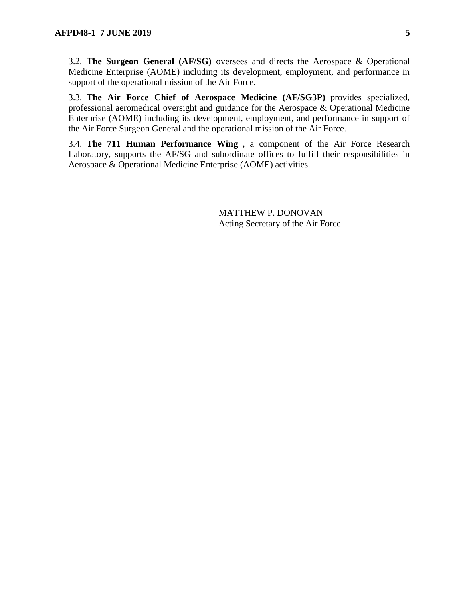3.2. **The Surgeon General (AF/SG)** oversees and directs the Aerospace & Operational Medicine Enterprise (AOME) including its development, employment, and performance in support of the operational mission of the Air Force.

3.3. **The Air Force Chief of Aerospace Medicine (AF/SG3P)** provides specialized, professional aeromedical oversight and guidance for the Aerospace & Operational Medicine Enterprise (AOME) including its development, employment, and performance in support of the Air Force Surgeon General and the operational mission of the Air Force.

3.4. **The 711 Human Performance Wing** , a component of the Air Force Research Laboratory, supports the AF/SG and subordinate offices to fulfill their responsibilities in Aerospace & Operational Medicine Enterprise (AOME) activities.

> MATTHEW P. DONOVAN Acting Secretary of the Air Force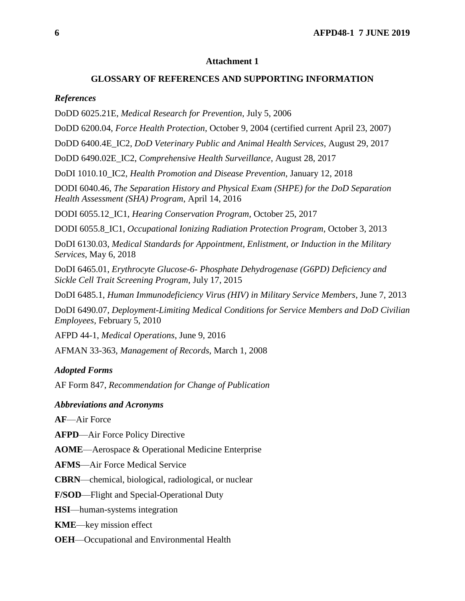### **Attachment 1**

### **GLOSSARY OF REFERENCES AND SUPPORTING INFORMATION**

#### *References*

DoDD 6025.21E, *Medical Research for Prevention*, July 5, 2006

DoDD 6200.04, *Force Health Protection*, October 9, 2004 (certified current April 23, 2007)

DoDD 6400.4E\_IC2, *DoD Veterinary Public and Animal Health Services*, August 29, 2017

DoDD 6490.02E\_IC2, *Comprehensive Health Surveillance*, August 28, 2017

DoDI 1010.10\_IC2, *Health Promotion and Disease Prevention*, January 12, 2018

DODI 6040.46, *The Separation History and Physical Exam (SHPE) for the DoD Separation Health Assessment (SHA) Program*, April 14, 2016

DODI 6055.12\_IC1, *Hearing Conservation Program*, October 25, 2017

DODI 6055.8\_IC1, *Occupational Ionizing Radiation Protection Program*, October 3, 2013

DoDI 6130.03, *Medical Standards for Appointment, Enlistment, or Induction in the Military Services*, May 6, 2018

DoDI 6465.01, *Erythrocyte Glucose-6- Phosphate Dehydrogenase (G6PD) Deficiency and Sickle Cell Trait Screening Program*, July 17, 2015

DoDI 6485.1, *Human Immunodeficiency Virus (HIV) in Military Service Members*, June 7, 2013

DoDI 6490.07*, Deployment-Limiting Medical Conditions for Service Members and DoD Civilian Employees*, February 5, 2010

AFPD 44-1, *Medical Operations*, June 9, 2016

AFMAN 33-363, *Management of Records,* March 1, 2008

#### *Adopted Forms*

AF Form 847, *Recommendation for Change of Publication*

#### *Abbreviations and Acronyms*

**AF**—Air Force

**AFPD**—Air Force Policy Directive

**AOME**—Aerospace & Operational Medicine Enterprise

**AFMS**—Air Force Medical Service

**CBRN**—chemical, biological, radiological, or nuclear

**F/SOD**—Flight and Special-Operational Duty

**HSI**—human-systems integration

**KME**—key mission effect

**OEH**—Occupational and Environmental Health